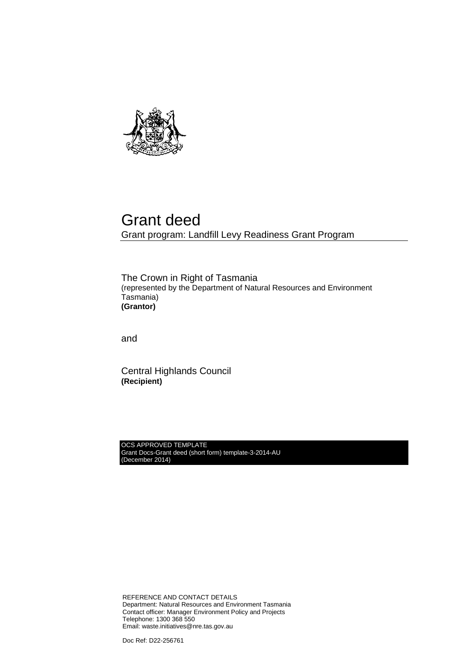

## Grant deed Grant program: Landfill Levy Readiness Grant Program

The Crown in Right of Tasmania (represented by the Department of Natural Resources and Environment Tasmania) **(Grantor)**

and

Central Highlands Council **(Recipient)**

OCS APPROVED TEMPLATE Grant Docs-Grant deed (short form) template-3-2014-AU (December 2014)

REFERENCE AND CONTACT DETAILS Department: Natural Resources and Environment Tasmania Contact officer: Manager Environment Policy and Projects Telephone: 1300 368 550 Email: waste.initiatives@nre.tas.gov.au

Doc Ref: D22-256761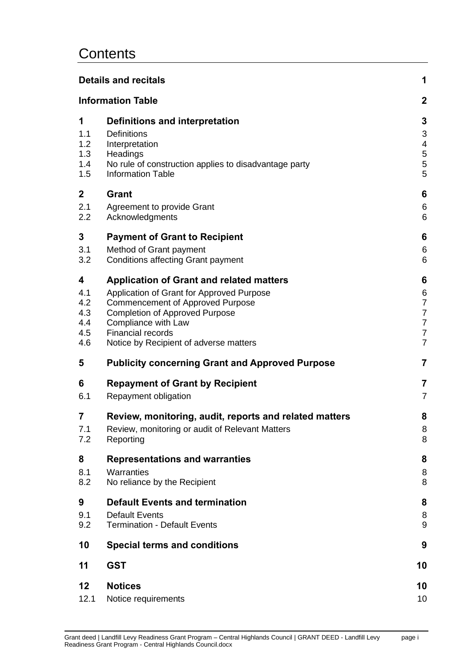## **Contents**

|                  | <b>Details and recitals</b>                            | 1              |
|------------------|--------------------------------------------------------|----------------|
|                  | <b>Information Table</b>                               | $\overline{2}$ |
| 1                | Definitions and interpretation                         | 3              |
| 1.1              | <b>Definitions</b>                                     | 3              |
| 1.2              | Interpretation                                         | 4              |
| 1.3              | Headings                                               | 5              |
| 1.4              | No rule of construction applies to disadvantage party  | 5              |
| 1.5              | <b>Information Table</b>                               | 5              |
| $\boldsymbol{2}$ | Grant                                                  | 6              |
| 2.1              | Agreement to provide Grant                             | 6              |
| 2.2              | Acknowledgments                                        | 6              |
| 3                | <b>Payment of Grant to Recipient</b>                   | 6              |
| 3.1              | Method of Grant payment                                | 6              |
| 3.2              | <b>Conditions affecting Grant payment</b>              | 6              |
| 4                | <b>Application of Grant and related matters</b>        | 6              |
| 4.1              | Application of Grant for Approved Purpose              | 6              |
| 4.2              | <b>Commencement of Approved Purpose</b>                | 7              |
| 4.3              | <b>Completion of Approved Purpose</b>                  | 7              |
| 4.4              | Compliance with Law                                    | $\overline{7}$ |
| 4.5              | <b>Financial records</b>                               | $\overline{7}$ |
| 4.6              | Notice by Recipient of adverse matters                 | $\overline{7}$ |
| 5                | <b>Publicity concerning Grant and Approved Purpose</b> | 7              |
| 6                | <b>Repayment of Grant by Recipient</b>                 | 7              |
| 6.1              | Repayment obligation                                   | $\overline{7}$ |
| $\overline{7}$   | Review, monitoring, audit, reports and related matters | 8              |
| 7.1              | Review, monitoring or audit of Relevant Matters        | 8              |
| 7.2              | Reporting                                              | 8              |
| 8                | <b>Representations and warranties</b>                  | 8              |
| 8.1              | Warranties                                             | 8              |
| 8.2              | No reliance by the Recipient                           | 8              |
| 9                | <b>Default Events and termination</b>                  | 8              |
| 9.1              | <b>Default Events</b>                                  | 8              |
| 9.2              | <b>Termination - Default Events</b>                    | 9              |
| 10               | <b>Special terms and conditions</b>                    | 9              |
| 11               | <b>GST</b>                                             | 10             |
| 12               | <b>Notices</b>                                         | 10             |
| 12.1             | Notice requirements                                    | 10             |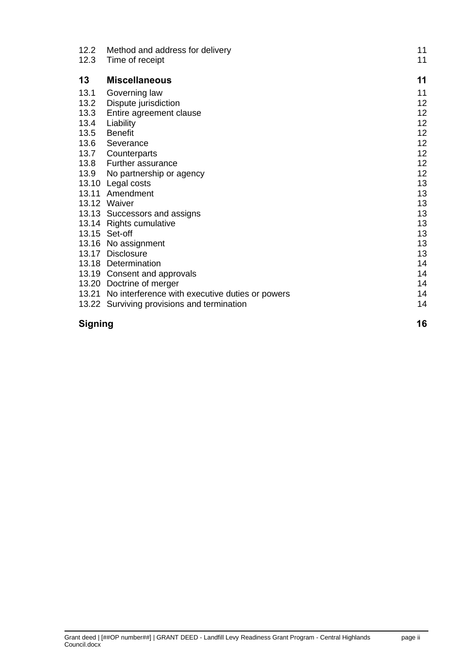| 12.2           | Method and address for delivery                       | 11 |
|----------------|-------------------------------------------------------|----|
| 12.3           | Time of receipt                                       | 11 |
| 13             | <b>Miscellaneous</b>                                  | 11 |
| 13.1           | Governing law                                         | 11 |
| 13.2           | Dispute jurisdiction                                  | 12 |
| 13.3           | Entire agreement clause                               | 12 |
| 13.4           | Liability                                             | 12 |
| 13.5           | <b>Benefit</b>                                        | 12 |
| 13.6           | Severance                                             | 12 |
| 13.7           | Counterparts                                          | 12 |
| 13.8           | <b>Further assurance</b>                              | 12 |
| 13.9           | No partnership or agency                              | 12 |
|                | 13.10 Legal costs                                     | 13 |
|                | 13.11 Amendment                                       | 13 |
|                | 13.12 Waiver                                          | 13 |
|                | 13.13 Successors and assigns                          | 13 |
|                | 13.14 Rights cumulative                               | 13 |
|                | 13.15 Set-off                                         | 13 |
|                | 13.16 No assignment                                   | 13 |
|                | 13.17 Disclosure                                      | 13 |
|                | 13.18 Determination                                   | 14 |
|                | 13.19 Consent and approvals                           | 14 |
|                | 13.20 Doctrine of merger                              | 14 |
|                | 13.21 No interference with executive duties or powers | 14 |
|                | 13.22 Surviving provisions and termination            | 14 |
| <b>Signing</b> |                                                       | 16 |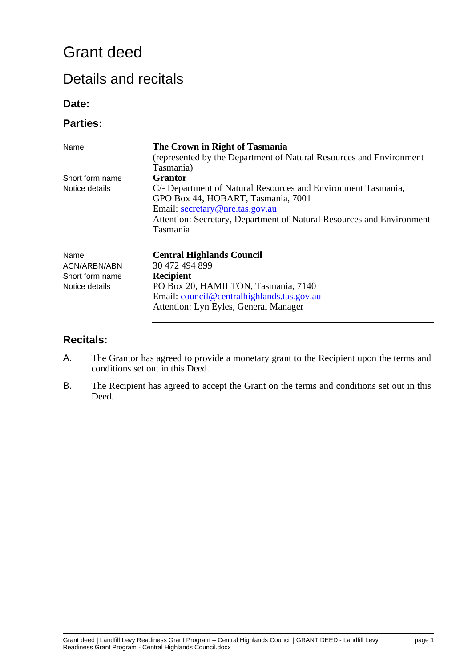# Grant deed

## <span id="page-3-0"></span>Details and recitals

### **Date:**

### **Parties:**

| Name                 | The Crown in Right of Tasmania<br>(represented by the Department of Natural Resources and Environment<br>Tasmania)                                                                                                          |
|----------------------|-----------------------------------------------------------------------------------------------------------------------------------------------------------------------------------------------------------------------------|
| Short form name      | Grantor                                                                                                                                                                                                                     |
| Notice details       | C/- Department of Natural Resources and Environment Tasmania,<br>GPO Box 44, HOBART, Tasmania, 7001<br>Email: secretary@nre.tas.gov.au<br>Attention: Secretary, Department of Natural Resources and Environment<br>Tasmania |
| Name<br>ACN/ARBN/ABN | <b>Central Highlands Council</b><br>30 472 494 899                                                                                                                                                                          |
| Short form name      | <b>Recipient</b>                                                                                                                                                                                                            |
| Notice details       | PO Box 20, HAMILTON, Tasmania, 7140<br>Email: council@centralhighlands.tas.gov.au<br>Attention: Lyn Eyles, General Manager                                                                                                  |

### **Recitals:**

- A. The Grantor has agreed to provide a monetary grant to the Recipient upon the terms and conditions set out in this Deed.
- B. The Recipient has agreed to accept the Grant on the terms and conditions set out in this Deed.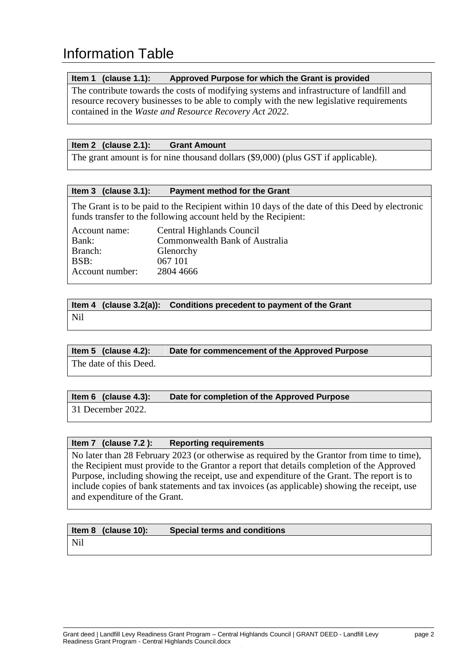## <span id="page-4-0"></span>Information Table

#### **Item 1 (clause 1.1): Approved Purpose for which the Grant is provided**

The contribute towards the costs of modifying systems and infrastructure of landfill and resource recovery businesses to be able to comply with the new legislative requirements contained in the *Waste and Resource Recovery Act 2022.*

### **Item 2 (clause 2.1): Grant Amount**

The grant amount is for nine thousand dollars (\$9,000) (plus GST if applicable).

### **Item 3 (clause 3.1): Payment method for the Grant**

The Grant is to be paid to the Recipient within 10 days of the date of this Deed by electronic funds transfer to the following account held by the Recipient:

| Account name:   | Central Highlands Council      |
|-----------------|--------------------------------|
| Bank:           | Commonwealth Bank of Australia |
| Branch:         | Glenorchy                      |
| BSB:            | 067 101                        |
| Account number: | 2804 4666                      |

### **Item 4 (clause 3.2(a)): Conditions precedent to payment of the Grant**

Nil

### **Item 5 (clause 4.2): Date for commencement of the Approved Purpose**

The date of this Deed.

### **Item 6 (clause 4.3): Date for completion of the Approved Purpose**

31 December 2022.

### **Item 7 (clause 7.2 ): Reporting requirements**

No later than 28 February 2023 (or otherwise as required by the Grantor from time to time), the Recipient must provide to the Grantor a report that details completion of the Approved Purpose, including showing the receipt, use and expenditure of the Grant. The report is to include copies of bank statements and tax invoices (as applicable) showing the receipt, use and expenditure of the Grant.

### **Item 8 (clause 10): Special terms and conditions**

Nil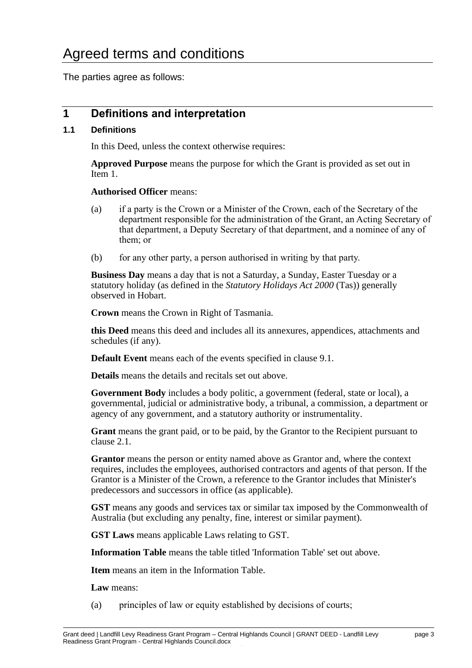The parties agree as follows:

### <span id="page-5-0"></span>**1 Definitions and interpretation**

### <span id="page-5-1"></span>**1.1 Definitions**

In this Deed, unless the context otherwise requires:

**Approved Purpose** means the purpose for which the Grant is provided as set out in Item 1.

**Authorised Officer** means:

- (a) if a party is the Crown or a Minister of the Crown, each of the Secretary of the department responsible for the administration of the Grant, an Acting Secretary of that department, a Deputy Secretary of that department, and a nominee of any of them; or
- (b) for any other party, a person authorised in writing by that party.

**Business Day** means a day that is not a Saturday, a Sunday, Easter Tuesday or a statutory holiday (as defined in the *Statutory Holidays Act 2000* (Tas)) generally observed in Hobart.

**Crown** means the Crown in Right of Tasmania.

**this Deed** means this deed and includes all its annexures, appendices, attachments and schedules (if any).

**Default Event** means each of the events specified in clause 9.1.

**Details** means the details and recitals set out above.

**Government Body** includes a body politic, a government (federal, state or local), a governmental, judicial or administrative body, a tribunal, a commission, a department or agency of any government, and a statutory authority or instrumentality.

**Grant** means the grant paid, or to be paid, by the Grantor to the Recipient pursuant to clause 2.1.

**Grantor** means the person or entity named above as Grantor and, where the context requires, includes the employees, authorised contractors and agents of that person. If the Grantor is a Minister of the Crown, a reference to the Grantor includes that Minister's predecessors and successors in office (as applicable).

**GST** means any goods and services tax or similar tax imposed by the Commonwealth of Australia (but excluding any penalty, fine, interest or similar payment).

**GST Laws** means applicable Laws relating to GST.

**Information Table** means the table titled 'Information Table' set out above.

**Item** means an item in the Information Table.

**Law** means:

(a) principles of law or equity established by decisions of courts;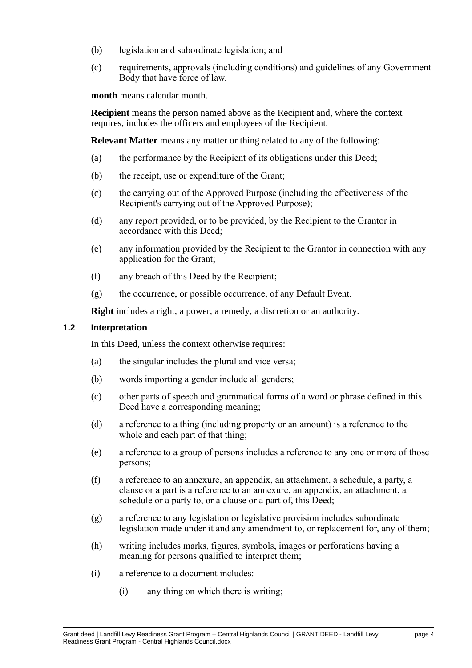- (b) legislation and subordinate legislation; and
- (c) requirements, approvals (including conditions) and guidelines of any Government Body that have force of law.

**month** means calendar month.

**Recipient** means the person named above as the Recipient and, where the context requires, includes the officers and employees of the Recipient.

**Relevant Matter** means any matter or thing related to any of the following:

- (a) the performance by the Recipient of its obligations under this Deed;
- (b) the receipt, use or expenditure of the Grant;
- (c) the carrying out of the Approved Purpose (including the effectiveness of the Recipient's carrying out of the Approved Purpose);
- (d) any report provided, or to be provided, by the Recipient to the Grantor in accordance with this Deed;
- (e) any information provided by the Recipient to the Grantor in connection with any application for the Grant;
- (f) any breach of this Deed by the Recipient;
- (g) the occurrence, or possible occurrence, of any Default Event.

**Right** includes a right, a power, a remedy, a discretion or an authority.

### <span id="page-6-0"></span>**1.2 Interpretation**

In this Deed, unless the context otherwise requires:

- (a) the singular includes the plural and vice versa;
- (b) words importing a gender include all genders;
- (c) other parts of speech and grammatical forms of a word or phrase defined in this Deed have a corresponding meaning;
- (d) a reference to a thing (including property or an amount) is a reference to the whole and each part of that thing;
- (e) a reference to a group of persons includes a reference to any one or more of those persons;
- (f) a reference to an annexure, an appendix, an attachment, a schedule, a party, a clause or a part is a reference to an annexure, an appendix, an attachment, a schedule or a party to, or a clause or a part of, this Deed;
- (g) a reference to any legislation or legislative provision includes subordinate legislation made under it and any amendment to, or replacement for, any of them;
- (h) writing includes marks, figures, symbols, images or perforations having a meaning for persons qualified to interpret them;
- (i) a reference to a document includes:
	- (i) any thing on which there is writing;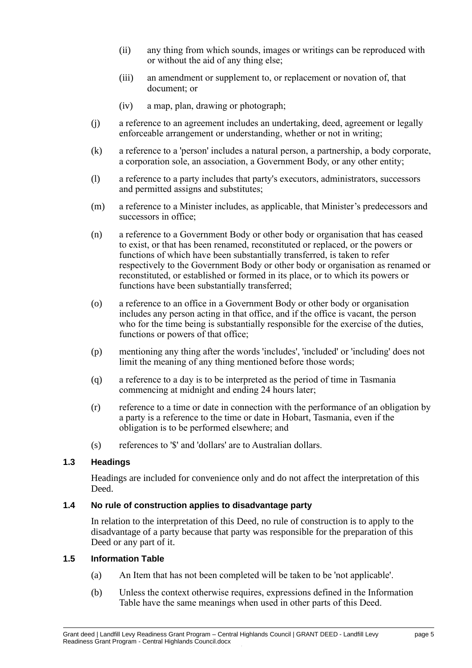- (ii) any thing from which sounds, images or writings can be reproduced with or without the aid of any thing else;
- (iii) an amendment or supplement to, or replacement or novation of, that document; or
- (iv) a map, plan, drawing or photograph;
- (j) a reference to an agreement includes an undertaking, deed, agreement or legally enforceable arrangement or understanding, whether or not in writing;
- (k) a reference to a 'person' includes a natural person, a partnership, a body corporate, a corporation sole, an association, a Government Body, or any other entity;
- (l) a reference to a party includes that party's executors, administrators, successors and permitted assigns and substitutes;
- (m) a reference to a Minister includes, as applicable, that Minister's predecessors and successors in office;
- (n) a reference to a Government Body or other body or organisation that has ceased to exist, or that has been renamed, reconstituted or replaced, or the powers or functions of which have been substantially transferred, is taken to refer respectively to the Government Body or other body or organisation as renamed or reconstituted, or established or formed in its place, or to which its powers or functions have been substantially transferred;
- (o) a reference to an office in a Government Body or other body or organisation includes any person acting in that office, and if the office is vacant, the person who for the time being is substantially responsible for the exercise of the duties, functions or powers of that office;
- (p) mentioning any thing after the words 'includes', 'included' or 'including' does not limit the meaning of any thing mentioned before those words;
- (q) a reference to a day is to be interpreted as the period of time in Tasmania commencing at midnight and ending 24 hours later;
- (r) reference to a time or date in connection with the performance of an obligation by a party is a reference to the time or date in Hobart, Tasmania, even if the obligation is to be performed elsewhere; and
- (s) references to '\$' and 'dollars' are to Australian dollars.

### <span id="page-7-0"></span>**1.3 Headings**

Headings are included for convenience only and do not affect the interpretation of this Deed.

#### <span id="page-7-1"></span>**1.4 No rule of construction applies to disadvantage party**

In relation to the interpretation of this Deed, no rule of construction is to apply to the disadvantage of a party because that party was responsible for the preparation of this Deed or any part of it.

#### <span id="page-7-2"></span>**1.5 Information Table**

- (a) An Item that has not been completed will be taken to be 'not applicable'.
- (b) Unless the context otherwise requires, expressions defined in the Information Table have the same meanings when used in other parts of this Deed.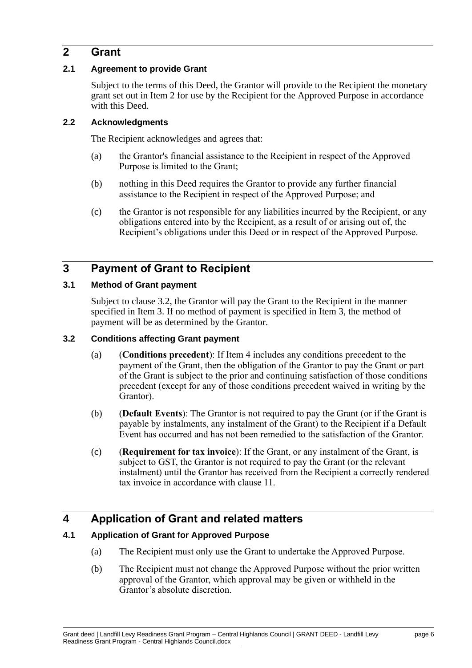### <span id="page-8-0"></span>**2 Grant**

### <span id="page-8-1"></span>**2.1 Agreement to provide Grant**

Subject to the terms of this Deed, the Grantor will provide to the Recipient the monetary grant set out in Item 2 for use by the Recipient for the Approved Purpose in accordance with this Deed.

### <span id="page-8-2"></span>**2.2 Acknowledgments**

The Recipient acknowledges and agrees that:

- (a) the Grantor's financial assistance to the Recipient in respect of the Approved Purpose is limited to the Grant;
- (b) nothing in this Deed requires the Grantor to provide any further financial assistance to the Recipient in respect of the Approved Purpose; and
- (c) the Grantor is not responsible for any liabilities incurred by the Recipient, or any obligations entered into by the Recipient, as a result of or arising out of, the Recipient's obligations under this Deed or in respect of the Approved Purpose.

### <span id="page-8-3"></span>**3 Payment of Grant to Recipient**

### <span id="page-8-4"></span>**3.1 Method of Grant payment**

Subject to clause 3.2, the Grantor will pay the Grant to the Recipient in the manner specified in Item 3. If no method of payment is specified in Item 3, the method of payment will be as determined by the Grantor.

### <span id="page-8-5"></span>**3.2 Conditions affecting Grant payment**

- (a) (**Conditions precedent**): If Item 4 includes any conditions precedent to the payment of the Grant, then the obligation of the Grantor to pay the Grant or part of the Grant is subject to the prior and continuing satisfaction of those conditions precedent (except for any of those conditions precedent waived in writing by the Grantor).
- (b) (**Default Events**): The Grantor is not required to pay the Grant (or if the Grant is payable by instalments, any instalment of the Grant) to the Recipient if a Default Event has occurred and has not been remedied to the satisfaction of the Grantor.
- (c) (**Requirement for tax invoice**): If the Grant, or any instalment of the Grant, is subject to GST, the Grantor is not required to pay the Grant (or the relevant instalment) until the Grantor has received from the Recipient a correctly rendered tax invoice in accordance with clause 11.

### <span id="page-8-6"></span>**4 Application of Grant and related matters**

### <span id="page-8-7"></span>**4.1 Application of Grant for Approved Purpose**

- (a) The Recipient must only use the Grant to undertake the Approved Purpose.
- (b) The Recipient must not change the Approved Purpose without the prior written approval of the Grantor, which approval may be given or withheld in the Grantor's absolute discretion.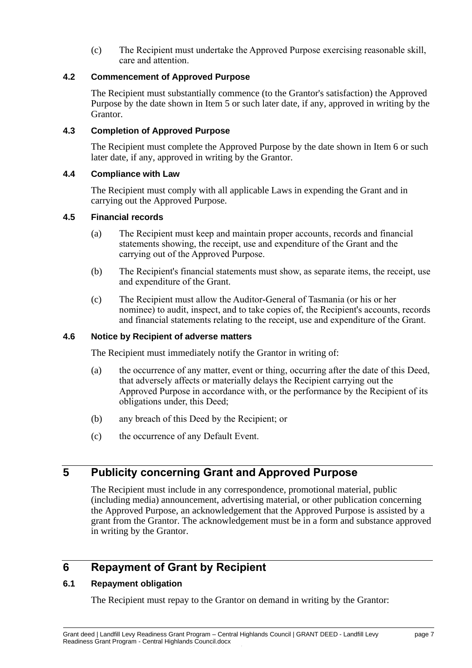(c) The Recipient must undertake the Approved Purpose exercising reasonable skill, care and attention.

### <span id="page-9-0"></span>**4.2 Commencement of Approved Purpose**

The Recipient must substantially commence (to the Grantor's satisfaction) the Approved Purpose by the date shown in Item 5 or such later date, if any, approved in writing by the Grantor.

### <span id="page-9-1"></span>**4.3 Completion of Approved Purpose**

The Recipient must complete the Approved Purpose by the date shown in Item 6 or such later date, if any, approved in writing by the Grantor.

### <span id="page-9-2"></span>**4.4 Compliance with Law**

The Recipient must comply with all applicable Laws in expending the Grant and in carrying out the Approved Purpose.

#### <span id="page-9-3"></span>**4.5 Financial records**

- (a) The Recipient must keep and maintain proper accounts, records and financial statements showing, the receipt, use and expenditure of the Grant and the carrying out of the Approved Purpose.
- (b) The Recipient's financial statements must show, as separate items, the receipt, use and expenditure of the Grant.
- (c) The Recipient must allow the Auditor-General of Tasmania (or his or her nominee) to audit, inspect, and to take copies of, the Recipient's accounts, records and financial statements relating to the receipt, use and expenditure of the Grant.

### <span id="page-9-4"></span>**4.6 Notice by Recipient of adverse matters**

The Recipient must immediately notify the Grantor in writing of:

- (a) the occurrence of any matter, event or thing, occurring after the date of this Deed, that adversely affects or materially delays the Recipient carrying out the Approved Purpose in accordance with, or the performance by the Recipient of its obligations under, this Deed;
- (b) any breach of this Deed by the Recipient; or
- (c) the occurrence of any Default Event.

### <span id="page-9-5"></span>**5 Publicity concerning Grant and Approved Purpose**

The Recipient must include in any correspondence, promotional material, public (including media) announcement, advertising material, or other publication concerning the Approved Purpose, an acknowledgement that the Approved Purpose is assisted by a grant from the Grantor. The acknowledgement must be in a form and substance approved in writing by the Grantor.

### <span id="page-9-6"></span>**6 Repayment of Grant by Recipient**

### <span id="page-9-7"></span>**6.1 Repayment obligation**

The Recipient must repay to the Grantor on demand in writing by the Grantor: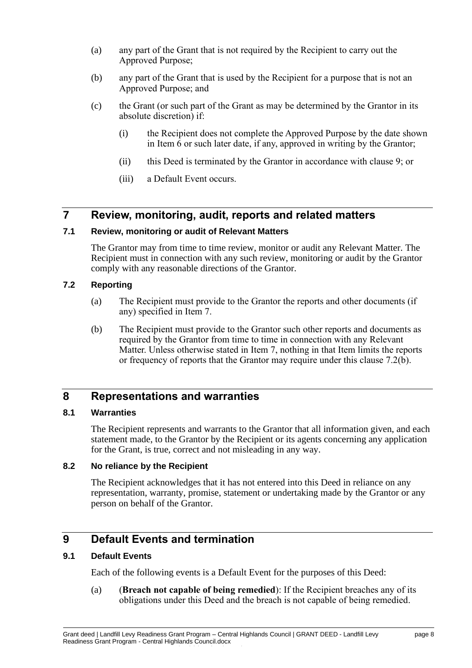- (a) any part of the Grant that is not required by the Recipient to carry out the Approved Purpose;
- (b) any part of the Grant that is used by the Recipient for a purpose that is not an Approved Purpose; and
- (c) the Grant (or such part of the Grant as may be determined by the Grantor in its absolute discretion) if:
	- (i) the Recipient does not complete the Approved Purpose by the date shown in Item  $\overline{6}$  or such later date, if any, approved in writing by the Grantor;
	- (ii) this Deed is terminated by the Grantor in accordance with clause 9; or
	- (iii) a Default Event occurs.

### <span id="page-10-0"></span>**7 Review, monitoring, audit, reports and related matters**

### <span id="page-10-1"></span>**7.1 Review, monitoring or audit of Relevant Matters**

The Grantor may from time to time review, monitor or audit any Relevant Matter. The Recipient must in connection with any such review, monitoring or audit by the Grantor comply with any reasonable directions of the Grantor.

#### <span id="page-10-2"></span>**7.2 Reporting**

- (a) The Recipient must provide to the Grantor the reports and other documents (if any) specified in Item 7.
- (b) The Recipient must provide to the Grantor such other reports and documents as required by the Grantor from time to time in connection with any Relevant Matter. Unless otherwise stated in Item 7, nothing in that Item limits the reports or frequency of reports that the Grantor may require under this clause 7.2(b).

### <span id="page-10-3"></span>**8 Representations and warranties**

### <span id="page-10-4"></span>**8.1 Warranties**

The Recipient represents and warrants to the Grantor that all information given, and each statement made, to the Grantor by the Recipient or its agents concerning any application for the Grant, is true, correct and not misleading in any way.

#### <span id="page-10-5"></span>**8.2 No reliance by the Recipient**

The Recipient acknowledges that it has not entered into this Deed in reliance on any representation, warranty, promise, statement or undertaking made by the Grantor or any person on behalf of the Grantor.

### <span id="page-10-6"></span>**9 Default Events and termination**

### <span id="page-10-7"></span>**9.1 Default Events**

Each of the following events is a Default Event for the purposes of this Deed:

(a) (**Breach not capable of being remedied**): If the Recipient breaches any of its obligations under this Deed and the breach is not capable of being remedied.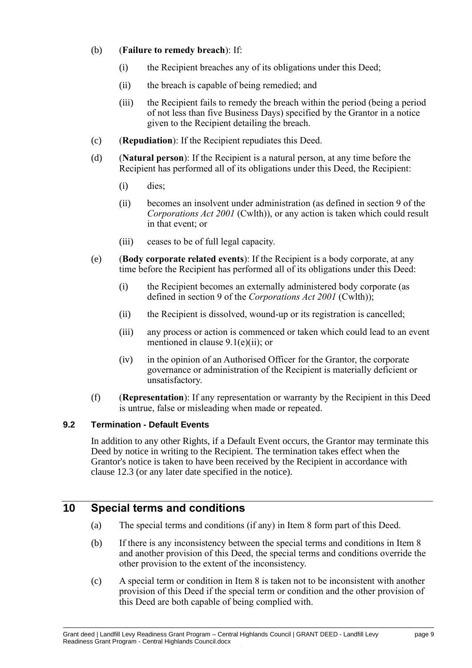### (b) (**Failure to remedy breach**): If:

- (i) the Recipient breaches any of its obligations under this Deed;
- (ii) the breach is capable of being remedied; and
- (iii) the Recipient fails to remedy the breach within the period (being a period of not less than five Business Days) specified by the Grantor in a notice given to the Recipient detailing the breach.
- (c) (**Repudiation**): If the Recipient repudiates this Deed.
- (d) (**Natural person**): If the Recipient is a natural person, at any time before the Recipient has performed all of its obligations under this Deed, the Recipient:
	- (i) dies;
	- (ii) becomes an insolvent under administration (as defined in section 9 of the *Corporations Act 2001* (Cwlth)), or any action is taken which could result in that event; or
	- (iii) ceases to be of full legal capacity.
- (e) (**Body corporate related events**): If the Recipient is a body corporate, at any time before the Recipient has performed all of its obligations under this Deed:
	- (i) the Recipient becomes an externally administered body corporate (as defined in section 9 of the *Corporations Act 2001* (Cwlth));
	- (ii) the Recipient is dissolved, wound-up or its registration is cancelled;
	- (iii) any process or action is commenced or taken which could lead to an event mentioned in clause 9.1(e)(ii); or
	- (iv) in the opinion of an Authorised Officer for the Grantor, the corporate governance or administration of the Recipient is materially deficient or unsatisfactory.
- (f) (**Representation**): If any representation or warranty by the Recipient in this Deed is untrue, false or misleading when made or repeated.

### <span id="page-11-0"></span>**9.2 Termination - Default Events**

In addition to any other Rights, if a Default Event occurs, the Grantor may terminate this Deed by notice in writing to the Recipient. The termination takes effect when the Grantor's notice is taken to have been received by the Recipient in accordance with clause 12.3 (or any later date specified in the notice).

### <span id="page-11-1"></span>**10 Special terms and conditions**

- (a) The special terms and conditions (if any) in Item 8 form part of this Deed.
- (b) If there is any inconsistency between the special terms and conditions in Item 8 and another provision of this Deed, the special terms and conditions override the other provision to the extent of the inconsistency.
- (c) A special term or condition in Item 8 is taken not to be inconsistent with another provision of this Deed if the special term or condition and the other provision of this Deed are both capable of being complied with.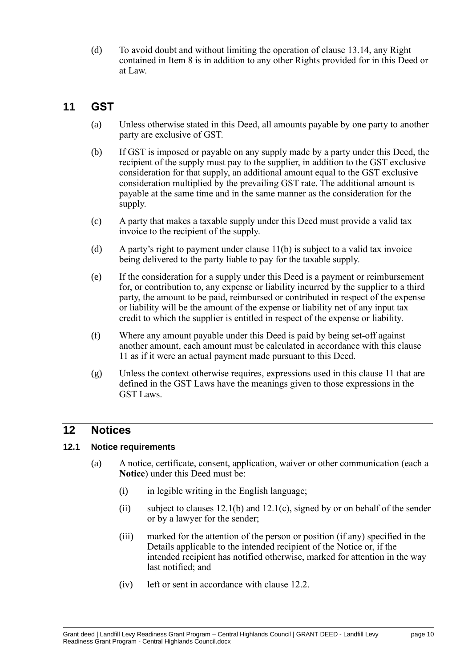(d) To avoid doubt and without limiting the operation of clause [13.14,](#page-15-8) any Right contained in Item 8 is in addition to any other Rights provided for in this Deed or at Law.

### <span id="page-12-3"></span><span id="page-12-0"></span>**11 GST**

- (a) Unless otherwise stated in this Deed, all amounts payable by one party to another party are exclusive of GST.
- <span id="page-12-4"></span>(b) If GST is imposed or payable on any supply made by a party under this Deed, the recipient of the supply must pay to the supplier, in addition to the GST exclusive consideration for that supply, an additional amount equal to the GST exclusive consideration multiplied by the prevailing GST rate. The additional amount is payable at the same time and in the same manner as the consideration for the supply.
- (c) A party that makes a taxable supply under this Deed must provide a valid tax invoice to the recipient of the supply.
- (d) A party's right to payment under clause [11](#page-12-3)[\(b\)](#page-12-4) is subject to a valid tax invoice being delivered to the party liable to pay for the taxable supply.
- (e) If the consideration for a supply under this Deed is a payment or reimbursement for, or contribution to, any expense or liability incurred by the supplier to a third party, the amount to be paid, reimbursed or contributed in respect of the expense or liability will be the amount of the expense or liability net of any input tax credit to which the supplier is entitled in respect of the expense or liability.
- (f) Where any amount payable under this Deed is paid by being set-off against another amount, each amount must be calculated in accordance with this clause [11](#page-12-3) as if it were an actual payment made pursuant to this Deed.
- (g) Unless the context otherwise requires, expressions used in this clause [11](#page-12-3) that are defined in the GST Laws have the meanings given to those expressions in the GST Laws.

### <span id="page-12-1"></span>**12 Notices**

### <span id="page-12-5"></span><span id="page-12-2"></span>**12.1 Notice requirements**

- (a) A notice, certificate, consent, application, waiver or other communication (each a **Notice**) under this Deed must be:
	- (i) in legible writing in the English language;
	- (ii) subject to clauses [12.1](#page-12-5)[\(b\)](#page-13-4) and 12.1[\(c\),](#page-13-5) signed by or on behalf of the sender or by a lawyer for the sender;
	- (iii) marked for the attention of the person or position (if any) specified in the Details applicable to the intended recipient of the Notice or, if the intended recipient has notified otherwise, marked for attention in the way last notified; and
	- (iv) left or sent in accordance with clause [12.2.](#page-13-6)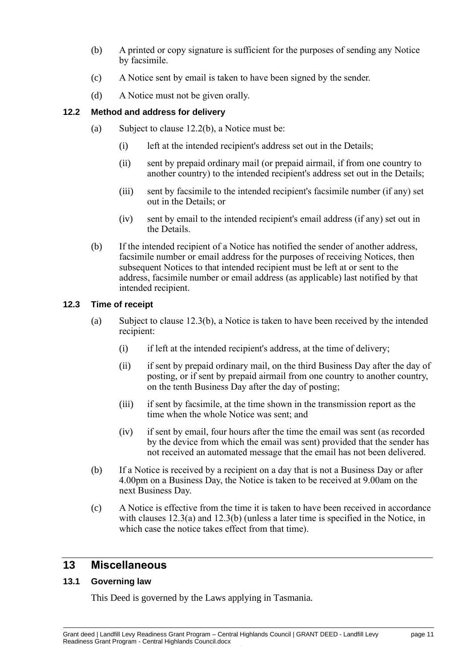- <span id="page-13-4"></span>(b) A printed or copy signature is sufficient for the purposes of sending any Notice by facsimile.
- <span id="page-13-5"></span>(c) A Notice sent by email is taken to have been signed by the sender.
- (d) A Notice must not be given orally.

### <span id="page-13-6"></span><span id="page-13-0"></span>**12.2 Method and address for delivery**

- (a) Subject to clause [12.2](#page-13-6)[\(b\),](#page-13-7) a Notice must be:
	- (i) left at the intended recipient's address set out in the Details;
	- (ii) sent by prepaid ordinary mail (or prepaid airmail, if from one country to another country) to the intended recipient's address set out in the Details;
	- (iii) sent by facsimile to the intended recipient's facsimile number (if any) set out in the Details; or
	- (iv) sent by email to the intended recipient's email address (if any) set out in the Details.
- <span id="page-13-7"></span>(b) If the intended recipient of a Notice has notified the sender of another address, facsimile number or email address for the purposes of receiving Notices, then subsequent Notices to that intended recipient must be left at or sent to the address, facsimile number or email address (as applicable) last notified by that intended recipient.

### <span id="page-13-10"></span><span id="page-13-8"></span><span id="page-13-1"></span>**12.3 Time of receipt**

- (a) Subject to clause [12.3](#page-13-8)[\(b\),](#page-13-9) a Notice is taken to have been received by the intended recipient:
	- (i) if left at the intended recipient's address, at the time of delivery;
	- (ii) if sent by prepaid ordinary mail, on the third Business Day after the day of posting, or if sent by prepaid airmail from one country to another country, on the tenth Business Day after the day of posting;
	- (iii) if sent by facsimile, at the time shown in the transmission report as the time when the whole Notice was sent; and
	- (iv) if sent by email, four hours after the time the email was sent (as recorded by the device from which the email was sent) provided that the sender has not received an automated message that the email has not been delivered.
- <span id="page-13-9"></span>(b) If a Notice is received by a recipient on a day that is not a Business Day or after 4.00pm on a Business Day, the Notice is taken to be received at 9.00am on the next Business Day.
- (c) A Notice is effective from the time it is taken to have been received in accordance with clauses [12.3](#page-13-8)[\(a\)](#page-13-10) and [12.3](#page-13-8)[\(b\)](#page-13-9) (unless a later time is specified in the Notice, in which case the notice takes effect from that time).

### <span id="page-13-2"></span>**13 Miscellaneous**

### <span id="page-13-3"></span>**13.1 Governing law**

This Deed is governed by the Laws applying in Tasmania.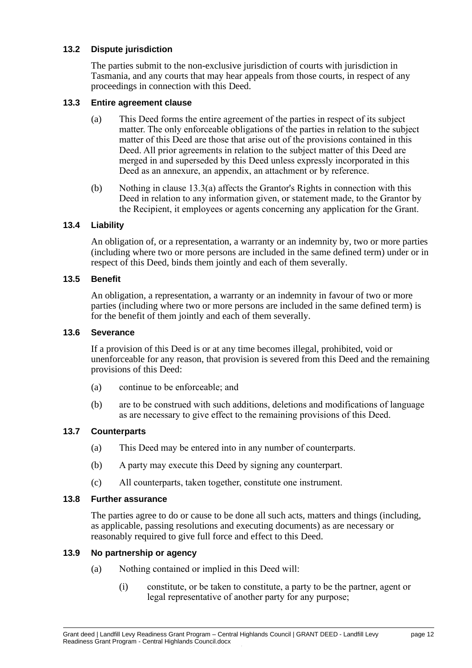### <span id="page-14-0"></span>**13.2 Dispute jurisdiction**

The parties submit to the non-exclusive jurisdiction of courts with jurisdiction in Tasmania, and any courts that may hear appeals from those courts, in respect of any proceedings in connection with this Deed.

### <span id="page-14-1"></span>**13.3 Entire agreement clause**

- (a) This Deed forms the entire agreement of the parties in respect of its subject matter. The only enforceable obligations of the parties in relation to the subject matter of this Deed are those that arise out of the provisions contained in this Deed. All prior agreements in relation to the subject matter of this Deed are merged in and superseded by this Deed unless expressly incorporated in this Deed as an annexure, an appendix, an attachment or by reference.
- (b) Nothing in clause 13.3(a) affects the Grantor's Rights in connection with this Deed in relation to any information given, or statement made, to the Grantor by the Recipient, it employees or agents concerning any application for the Grant.

### <span id="page-14-2"></span>**13.4 Liability**

An obligation of, or a representation, a warranty or an indemnity by, two or more parties (including where two or more persons are included in the same defined term) under or in respect of this Deed, binds them jointly and each of them severally.

#### <span id="page-14-3"></span>**13.5 Benefit**

An obligation, a representation, a warranty or an indemnity in favour of two or more parties (including where two or more persons are included in the same defined term) is for the benefit of them jointly and each of them severally.

### <span id="page-14-4"></span>**13.6 Severance**

If a provision of this Deed is or at any time becomes illegal, prohibited, void or unenforceable for any reason, that provision is severed from this Deed and the remaining provisions of this Deed:

- (a) continue to be enforceable; and
- (b) are to be construed with such additions, deletions and modifications of language as are necessary to give effect to the remaining provisions of this Deed.

#### <span id="page-14-5"></span>**13.7 Counterparts**

- (a) This Deed may be entered into in any number of counterparts.
- (b) A party may execute this Deed by signing any counterpart.
- (c) All counterparts, taken together, constitute one instrument.

#### <span id="page-14-6"></span>**13.8 Further assurance**

The parties agree to do or cause to be done all such acts, matters and things (including, as applicable, passing resolutions and executing documents) as are necessary or reasonably required to give full force and effect to this Deed.

#### <span id="page-14-7"></span>**13.9 No partnership or agency**

- (a) Nothing contained or implied in this Deed will:
	- (i) constitute, or be taken to constitute, a party to be the partner, agent or legal representative of another party for any purpose;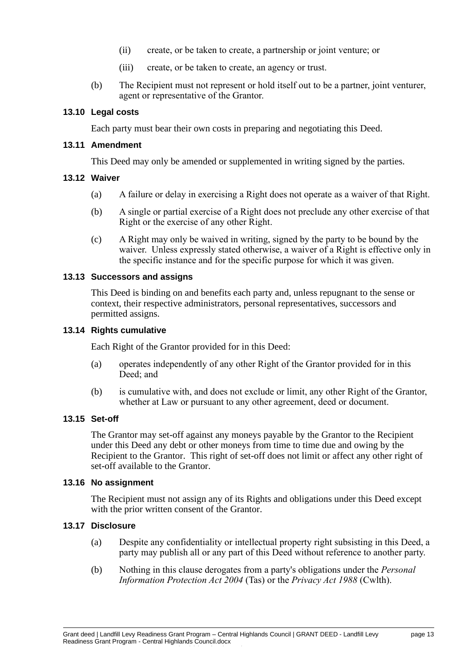- (ii) create, or be taken to create, a partnership or joint venture; or
- (iii) create, or be taken to create, an agency or trust.
- (b) The Recipient must not represent or hold itself out to be a partner, joint venturer, agent or representative of the Grantor.

### <span id="page-15-0"></span>**13.10 Legal costs**

Each party must bear their own costs in preparing and negotiating this Deed.

#### <span id="page-15-1"></span>**13.11 Amendment**

This Deed may only be amended or supplemented in writing signed by the parties.

### <span id="page-15-2"></span>**13.12 Waiver**

- (a) A failure or delay in exercising a Right does not operate as a waiver of that Right.
- (b) A single or partial exercise of a Right does not preclude any other exercise of that Right or the exercise of any other Right.
- (c) A Right may only be waived in writing, signed by the party to be bound by the waiver. Unless expressly stated otherwise, a waiver of a Right is effective only in the specific instance and for the specific purpose for which it was given.

#### <span id="page-15-3"></span>**13.13 Successors and assigns**

This Deed is binding on and benefits each party and, unless repugnant to the sense or context, their respective administrators, personal representatives, successors and permitted assigns.

### <span id="page-15-8"></span><span id="page-15-4"></span>**13.14 Rights cumulative**

Each Right of the Grantor provided for in this Deed:

- (a) operates independently of any other Right of the Grantor provided for in this Deed; and
- (b) is cumulative with, and does not exclude or limit, any other Right of the Grantor, whether at Law or pursuant to any other agreement, deed or document.

### <span id="page-15-5"></span>**13.15 Set-off**

The Grantor may set-off against any moneys payable by the Grantor to the Recipient under this Deed any debt or other moneys from time to time due and owing by the Recipient to the Grantor. This right of set-off does not limit or affect any other right of set-off available to the Grantor.

#### <span id="page-15-6"></span>**13.16 No assignment**

The Recipient must not assign any of its Rights and obligations under this Deed except with the prior written consent of the Grantor.

### <span id="page-15-7"></span>**13.17 Disclosure**

- (a) Despite any confidentiality or intellectual property right subsisting in this Deed, a party may publish all or any part of this Deed without reference to another party.
- (b) Nothing in this clause derogates from a party's obligations under the *Personal Information Protection Act 2004* (Tas) or the *Privacy Act 1988* (Cwlth).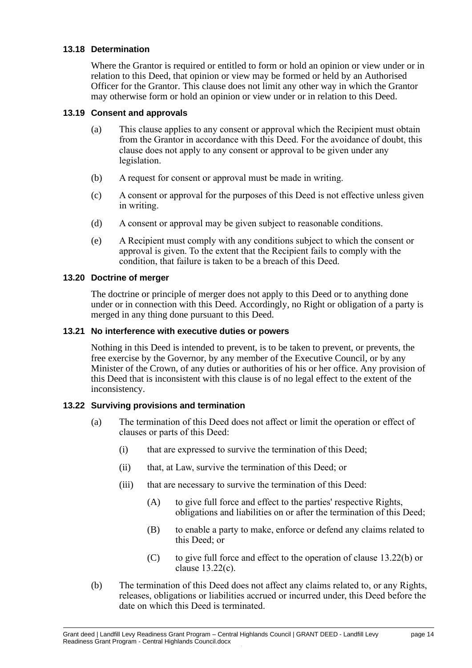### <span id="page-16-0"></span>**13.18 Determination**

Where the Grantor is required or entitled to form or hold an opinion or view under or in relation to this Deed, that opinion or view may be formed or held by an Authorised Officer for the Grantor. This clause does not limit any other way in which the Grantor may otherwise form or hold an opinion or view under or in relation to this Deed.

### <span id="page-16-1"></span>**13.19 Consent and approvals**

- (a) This clause applies to any consent or approval which the Recipient must obtain from the Grantor in accordance with this Deed. For the avoidance of doubt, this clause does not apply to any consent or approval to be given under any legislation.
- (b) A request for consent or approval must be made in writing.
- (c) A consent or approval for the purposes of this Deed is not effective unless given in writing.
- (d) A consent or approval may be given subject to reasonable conditions.
- (e) A Recipient must comply with any conditions subject to which the consent or approval is given. To the extent that the Recipient fails to comply with the condition, that failure is taken to be a breach of this Deed.

### <span id="page-16-2"></span>**13.20 Doctrine of merger**

The doctrine or principle of merger does not apply to this Deed or to anything done under or in connection with this Deed. Accordingly, no Right or obligation of a party is merged in any thing done pursuant to this Deed.

### <span id="page-16-3"></span>**13.21 No interference with executive duties or powers**

Nothing in this Deed is intended to prevent, is to be taken to prevent, or prevents, the free exercise by the Governor, by any member of the Executive Council, or by any Minister of the Crown, of any duties or authorities of his or her office. Any provision of this Deed that is inconsistent with this clause is of no legal effect to the extent of the inconsistency.

### <span id="page-16-5"></span><span id="page-16-4"></span>**13.22 Surviving provisions and termination**

- (a) The termination of this Deed does not affect or limit the operation or effect of clauses or parts of this Deed:
	- (i) that are expressed to survive the termination of this Deed;
	- (ii) that, at Law, survive the termination of this Deed; or
	- (iii) that are necessary to survive the termination of this Deed:
		- $(A)$  to give full force and effect to the parties' respective Rights, obligations and liabilities on or after the termination of this Deed;
		- (B) to enable a party to make, enforce or defend any claims related to this Deed; or
		- (C) to give full force and effect to the operation of clause [13.22](#page-16-5)[\(b\)](#page-16-6) or clause [13.22](#page-16-5)[\(c\).](#page-17-0)
- <span id="page-16-6"></span>(b) The termination of this Deed does not affect any claims related to, or any Rights, releases, obligations or liabilities accrued or incurred under, this Deed before the date on which this Deed is terminated.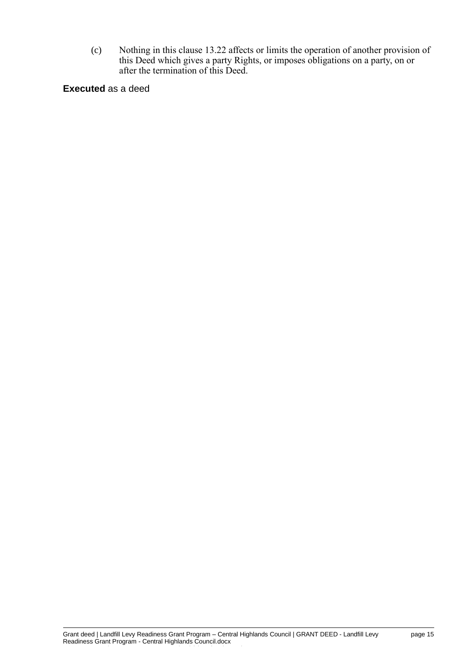<span id="page-17-0"></span>(c) Nothing in this clause [13.22](#page-16-5) affects or limits the operation of another provision of this Deed which gives a party Rights, or imposes obligations on a party, on or after the termination of this Deed.

**Executed** as a deed